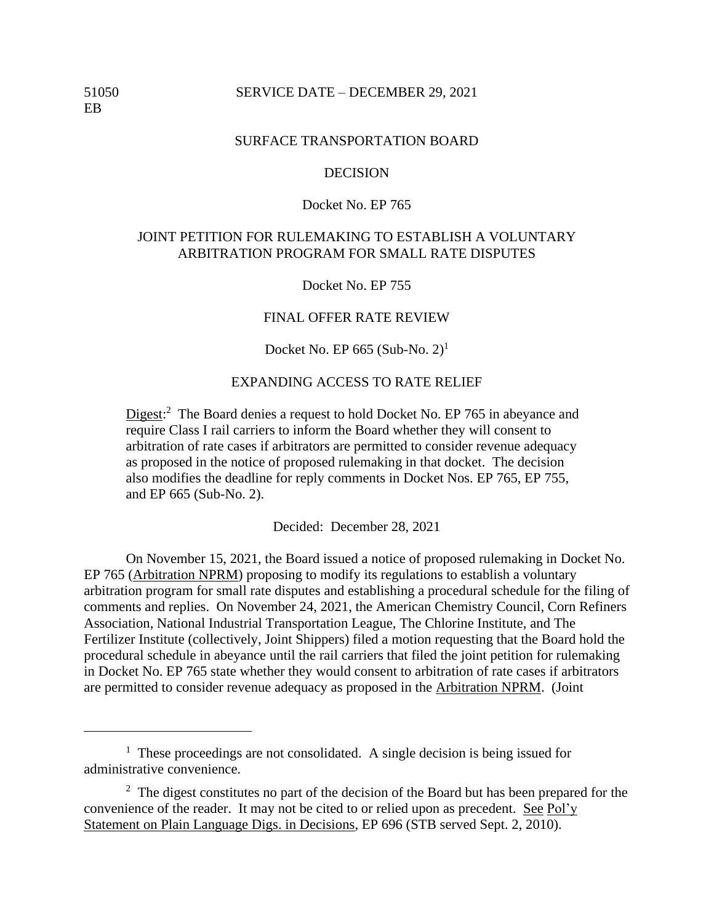## 51050 SERVICE DATE – DECEMBER 29, 2021

### SURFACE TRANSPORTATION BOARD

### **DECISION**

## Docket No. EP 765

# JOINT PETITION FOR RULEMAKING TO ESTABLISH A VOLUNTARY ARBITRATION PROGRAM FOR SMALL RATE DISPUTES

Docket No. EP 755

#### FINAL OFFER RATE REVIEW

Docket No. EP  $665$  (Sub-No. 2)<sup>1</sup>

#### EXPANDING ACCESS TO RATE RELIEF

Digest:<sup>2</sup> The Board denies a request to hold Docket No. EP 765 in abeyance and require Class I rail carriers to inform the Board whether they will consent to arbitration of rate cases if arbitrators are permitted to consider revenue adequacy as proposed in the notice of proposed rulemaking in that docket. The decision also modifies the deadline for reply comments in Docket Nos. EP 765, EP 755, and EP 665 (Sub-No. 2).

Decided: December 28, 2021

On November 15, 2021, the Board issued a notice of proposed rulemaking in Docket No. EP 765 (Arbitration NPRM) proposing to modify its regulations to establish a voluntary arbitration program for small rate disputes and establishing a procedural schedule for the filing of comments and replies. On November 24, 2021, the American Chemistry Council, Corn Refiners Association, National Industrial Transportation League, The Chlorine Institute, and The Fertilizer Institute (collectively, Joint Shippers) filed a motion requesting that the Board hold the procedural schedule in abeyance until the rail carriers that filed the joint petition for rulemaking in Docket No. EP 765 state whether they would consent to arbitration of rate cases if arbitrators are permitted to consider revenue adequacy as proposed in the Arbitration NPRM. (Joint

<sup>&</sup>lt;sup>1</sup> These proceedings are not consolidated. A single decision is being issued for administrative convenience.

 $2$  The digest constitutes no part of the decision of the Board but has been prepared for the convenience of the reader. It may not be cited to or relied upon as precedent. See Pol'y Statement on Plain Language Digs. in Decisions, EP 696 (STB served Sept. 2, 2010).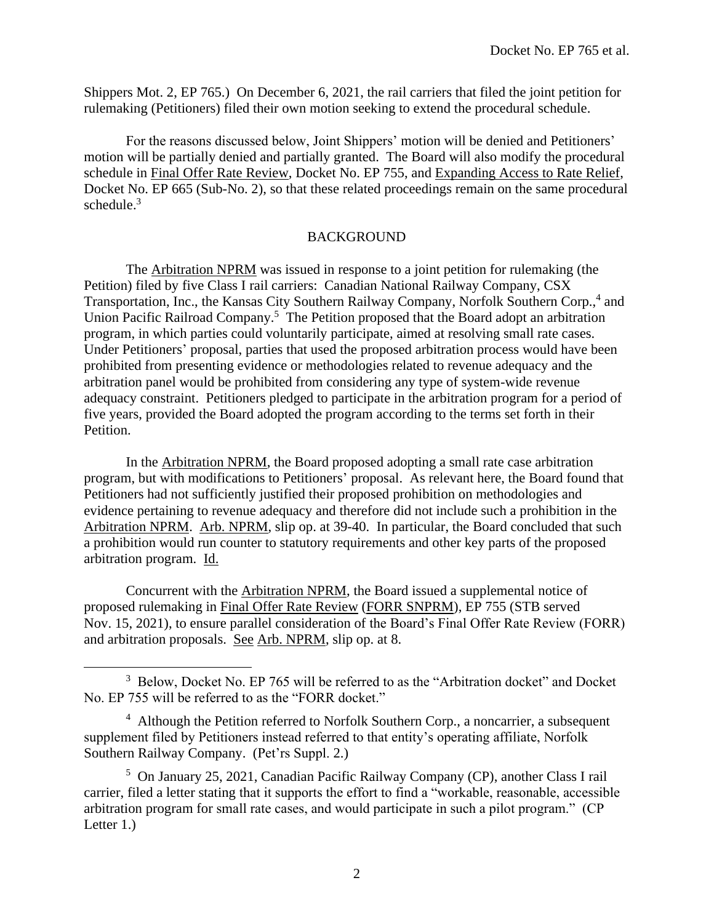Shippers Mot. 2, EP 765.) On December 6, 2021, the rail carriers that filed the joint petition for rulemaking (Petitioners) filed their own motion seeking to extend the procedural schedule.

For the reasons discussed below, Joint Shippers' motion will be denied and Petitioners' motion will be partially denied and partially granted. The Board will also modify the procedural schedule in Final Offer Rate Review, Docket No. EP 755, and Expanding Access to Rate Relief, Docket No. EP 665 (Sub-No. 2), so that these related proceedings remain on the same procedural schedule. 3

# BACKGROUND

The Arbitration NPRM was issued in response to a joint petition for rulemaking (the Petition) filed by five Class I rail carriers: Canadian National Railway Company, CSX Transportation, Inc., the Kansas City Southern Railway Company, Norfolk Southern Corp.,<sup>4</sup> and Union Pacific Railroad Company.<sup>5</sup> The Petition proposed that the Board adopt an arbitration program, in which parties could voluntarily participate, aimed at resolving small rate cases. Under Petitioners' proposal, parties that used the proposed arbitration process would have been prohibited from presenting evidence or methodologies related to revenue adequacy and the arbitration panel would be prohibited from considering any type of system-wide revenue adequacy constraint. Petitioners pledged to participate in the arbitration program for a period of five years, provided the Board adopted the program according to the terms set forth in their Petition.

In the Arbitration NPRM, the Board proposed adopting a small rate case arbitration program, but with modifications to Petitioners' proposal. As relevant here, the Board found that Petitioners had not sufficiently justified their proposed prohibition on methodologies and evidence pertaining to revenue adequacy and therefore did not include such a prohibition in the Arbitration NPRM. Arb. NPRM, slip op. at 39-40. In particular, the Board concluded that such a prohibition would run counter to statutory requirements and other key parts of the proposed arbitration program. Id.

Concurrent with the Arbitration NPRM, the Board issued a supplemental notice of proposed rulemaking in Final Offer Rate Review (FORR SNPRM), EP 755 (STB served Nov. 15, 2021), to ensure parallel consideration of the Board's Final Offer Rate Review (FORR) and arbitration proposals. See Arb. NPRM, slip op. at 8.

<sup>&</sup>lt;sup>3</sup> Below, Docket No. EP 765 will be referred to as the "Arbitration docket" and Docket No. EP 755 will be referred to as the "FORR docket."

<sup>&</sup>lt;sup>4</sup> Although the Petition referred to Norfolk Southern Corp., a noncarrier, a subsequent supplement filed by Petitioners instead referred to that entity's operating affiliate, Norfolk Southern Railway Company. (Pet'rs Suppl. 2.)

<sup>5</sup> On January 25, 2021, Canadian Pacific Railway Company (CP), another Class I rail carrier, filed a letter stating that it supports the effort to find a "workable, reasonable, accessible arbitration program for small rate cases, and would participate in such a pilot program." (CP Letter 1.)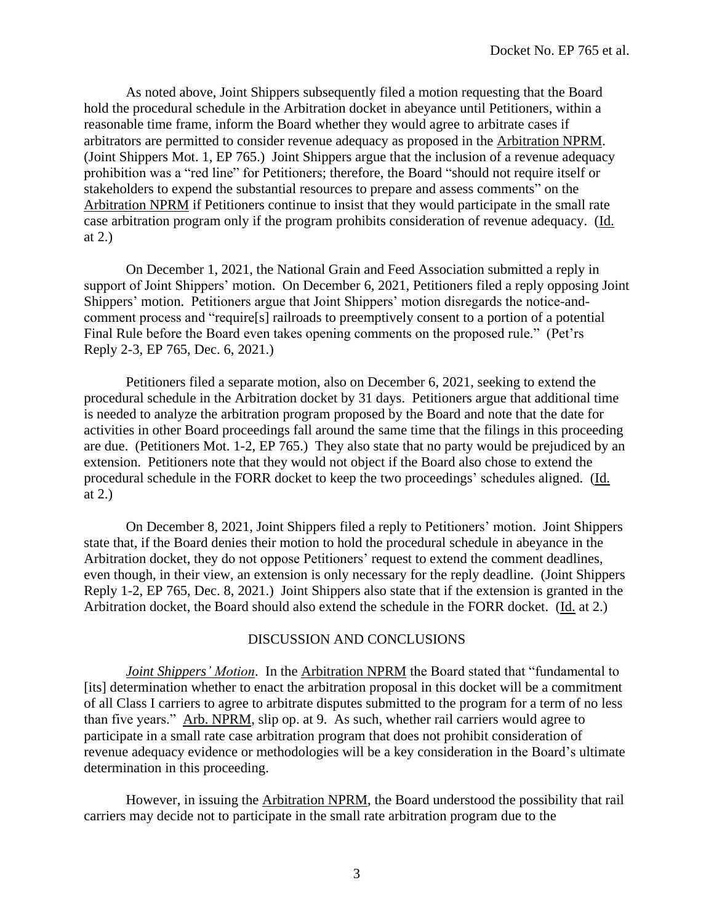As noted above, Joint Shippers subsequently filed a motion requesting that the Board hold the procedural schedule in the Arbitration docket in abeyance until Petitioners, within a reasonable time frame, inform the Board whether they would agree to arbitrate cases if arbitrators are permitted to consider revenue adequacy as proposed in the Arbitration NPRM. (Joint Shippers Mot. 1, EP 765.) Joint Shippers argue that the inclusion of a revenue adequacy prohibition was a "red line" for Petitioners; therefore, the Board "should not require itself or stakeholders to expend the substantial resources to prepare and assess comments" on the Arbitration NPRM if Petitioners continue to insist that they would participate in the small rate case arbitration program only if the program prohibits consideration of revenue adequacy. (Id. at 2.)

On December 1, 2021, the National Grain and Feed Association submitted a reply in support of Joint Shippers' motion. On December 6, 2021, Petitioners filed a reply opposing Joint Shippers' motion. Petitioners argue that Joint Shippers' motion disregards the notice-andcomment process and "require[s] railroads to preemptively consent to a portion of a potential Final Rule before the Board even takes opening comments on the proposed rule." (Pet'rs Reply 2-3, EP 765, Dec. 6, 2021.)

Petitioners filed a separate motion, also on December 6, 2021, seeking to extend the procedural schedule in the Arbitration docket by 31 days. Petitioners argue that additional time is needed to analyze the arbitration program proposed by the Board and note that the date for activities in other Board proceedings fall around the same time that the filings in this proceeding are due. (Petitioners Mot. 1-2, EP 765.) They also state that no party would be prejudiced by an extension. Petitioners note that they would not object if the Board also chose to extend the procedural schedule in the FORR docket to keep the two proceedings' schedules aligned. (Id. at 2.)

On December 8, 2021, Joint Shippers filed a reply to Petitioners' motion. Joint Shippers state that, if the Board denies their motion to hold the procedural schedule in abeyance in the Arbitration docket, they do not oppose Petitioners' request to extend the comment deadlines, even though, in their view, an extension is only necessary for the reply deadline. (Joint Shippers Reply 1-2, EP 765, Dec. 8, 2021.) Joint Shippers also state that if the extension is granted in the Arbitration docket, the Board should also extend the schedule in the FORR docket. (Id. at 2.)

## DISCUSSION AND CONCLUSIONS

*Joint Shippers' Motion*. In the Arbitration NPRM the Board stated that "fundamental to [its] determination whether to enact the arbitration proposal in this docket will be a commitment of all Class I carriers to agree to arbitrate disputes submitted to the program for a term of no less than five years." Arb. NPRM, slip op. at 9. As such, whether rail carriers would agree to participate in a small rate case arbitration program that does not prohibit consideration of revenue adequacy evidence or methodologies will be a key consideration in the Board's ultimate determination in this proceeding.

However, in issuing the **Arbitration NPRM**, the Board understood the possibility that rail carriers may decide not to participate in the small rate arbitration program due to the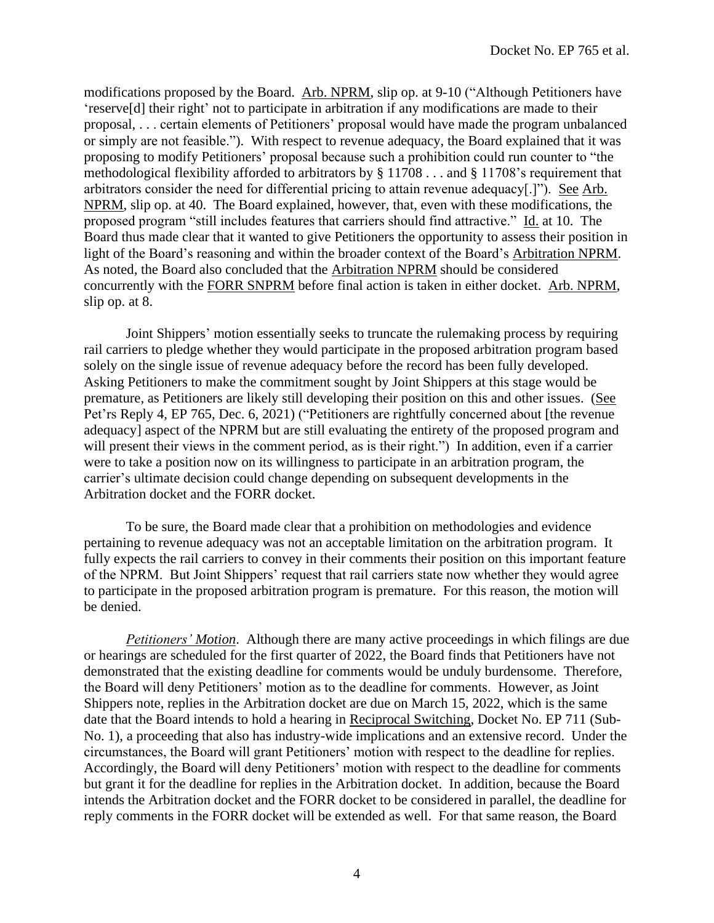modifications proposed by the Board. Arb. NPRM, slip op. at 9-10 ("Although Petitioners have 'reserve[d] their right' not to participate in arbitration if any modifications are made to their proposal, . . . certain elements of Petitioners' proposal would have made the program unbalanced or simply are not feasible."). With respect to revenue adequacy, the Board explained that it was proposing to modify Petitioners' proposal because such a prohibition could run counter to "the methodological flexibility afforded to arbitrators by § 11708 . . . and § 11708's requirement that arbitrators consider the need for differential pricing to attain revenue adequacy[.]"). See Arb. NPRM, slip op. at 40. The Board explained, however, that, even with these modifications, the proposed program "still includes features that carriers should find attractive." Id. at 10. The Board thus made clear that it wanted to give Petitioners the opportunity to assess their position in light of the Board's reasoning and within the broader context of the Board's Arbitration NPRM. As noted, the Board also concluded that the Arbitration NPRM should be considered concurrently with the FORR SNPRM before final action is taken in either docket. Arb. NPRM, slip op. at 8.

Joint Shippers' motion essentially seeks to truncate the rulemaking process by requiring rail carriers to pledge whether they would participate in the proposed arbitration program based solely on the single issue of revenue adequacy before the record has been fully developed. Asking Petitioners to make the commitment sought by Joint Shippers at this stage would be premature, as Petitioners are likely still developing their position on this and other issues. (See Pet'rs Reply 4, EP 765, Dec. 6, 2021) ("Petitioners are rightfully concerned about [the revenue adequacy] aspect of the NPRM but are still evaluating the entirety of the proposed program and will present their views in the comment period, as is their right.") In addition, even if a carrier were to take a position now on its willingness to participate in an arbitration program, the carrier's ultimate decision could change depending on subsequent developments in the Arbitration docket and the FORR docket.

To be sure, the Board made clear that a prohibition on methodologies and evidence pertaining to revenue adequacy was not an acceptable limitation on the arbitration program. It fully expects the rail carriers to convey in their comments their position on this important feature of the NPRM. But Joint Shippers' request that rail carriers state now whether they would agree to participate in the proposed arbitration program is premature. For this reason, the motion will be denied.

*Petitioners' Motion*. Although there are many active proceedings in which filings are due or hearings are scheduled for the first quarter of 2022, the Board finds that Petitioners have not demonstrated that the existing deadline for comments would be unduly burdensome. Therefore, the Board will deny Petitioners' motion as to the deadline for comments. However, as Joint Shippers note, replies in the Arbitration docket are due on March 15, 2022, which is the same date that the Board intends to hold a hearing in Reciprocal Switching, Docket No. EP 711 (Sub-No. 1), a proceeding that also has industry-wide implications and an extensive record. Under the circumstances, the Board will grant Petitioners' motion with respect to the deadline for replies. Accordingly, the Board will deny Petitioners' motion with respect to the deadline for comments but grant it for the deadline for replies in the Arbitration docket. In addition, because the Board intends the Arbitration docket and the FORR docket to be considered in parallel, the deadline for reply comments in the FORR docket will be extended as well. For that same reason, the Board